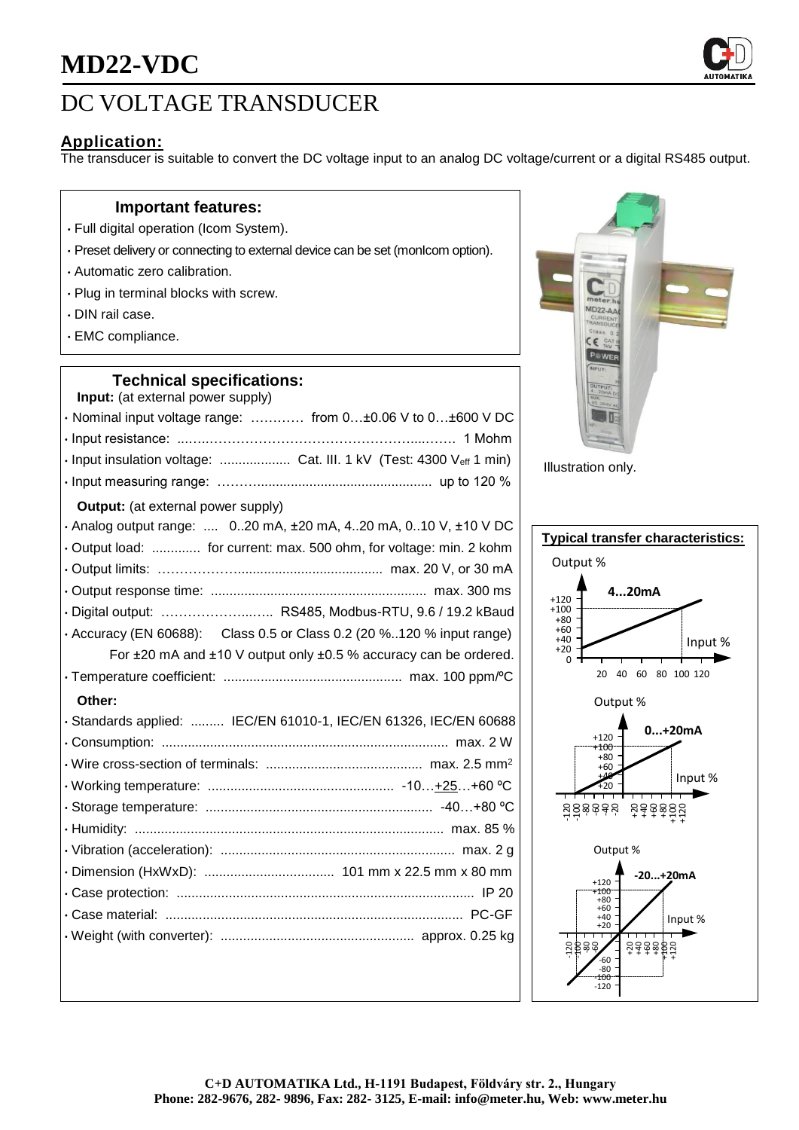

# DC VOLTAGE TRANSDUCER

## **Application:**

The transducer is suitable to convert the DC voltage input to an analog DC voltage/current or a digital RS485 output.

### **Important features:**

- Full digital operation (Icom System).
- Preset delivery or connecting to external device can be set (monIcom option).
- Automatic zero calibration.
- Plug in terminal blocks with screw.
- DIN rail case.
- EMC compliance.

### **Technical specifications:**

**Input:** (at external power supply) • Nominal input voltage range: ………… from 0…±0.06 V to 0…±600 V DC • Input resistance: ...…..………………………………………....……. 1 Mohm • Input insulation voltage: ................... Cat. III. 1 kV (Test: 4300 Veff 1 min) • Input measuring range: ………............................................... up to 120 % **Output:** (at external power supply) • Analog output range: .... 0..20 mA, ±20 mA, 4..20 mA, 0..10 V, ±10 V DC • Output load: ............. for current: max. 500 ohm, for voltage: min. 2 kohm • Output limits: ………………....................................... max. 20 V, or 30 mA • Output response time: .......................................................... max. 300 ms • Digital output: ………………...….. RS485, Modbus-RTU, 9.6 / 19.2 kBaud • Accuracy (EN 60688): Class 0.5 or Class 0.2 (20 %..120 % input range) For ±20 mA and ±10 V output only ±0.5 % accuracy can be ordered. • Temperature coefficient: ................................................ max. 100 ppm/ºC **Other:** • Standards applied: ......... IEC/EN 61010-1, IEC/EN 61326, IEC/EN 60688 • Consumption: ............................................................................. max. 2 W • Wire cross-section of terminals: .......................................... max. 2.5 mm<sup>2</sup> • Working temperature: .................................................. -10…+25…+60 ºC • Storage temperature: ............................................................. -40…+80 ºC • Humidity: ................................................................................... max. 85 % • Vibration (acceleration): ............................................................... max. 2 g • Dimension (HxWxD): ................................... 101 mm x 22.5 mm x 80 mm • Case protection: ................................................................................ IP 20 • Case material: ................................................................................ PC-GF • Weight (with converter): .................................................... approx. 0.25 kg



Illustration only.